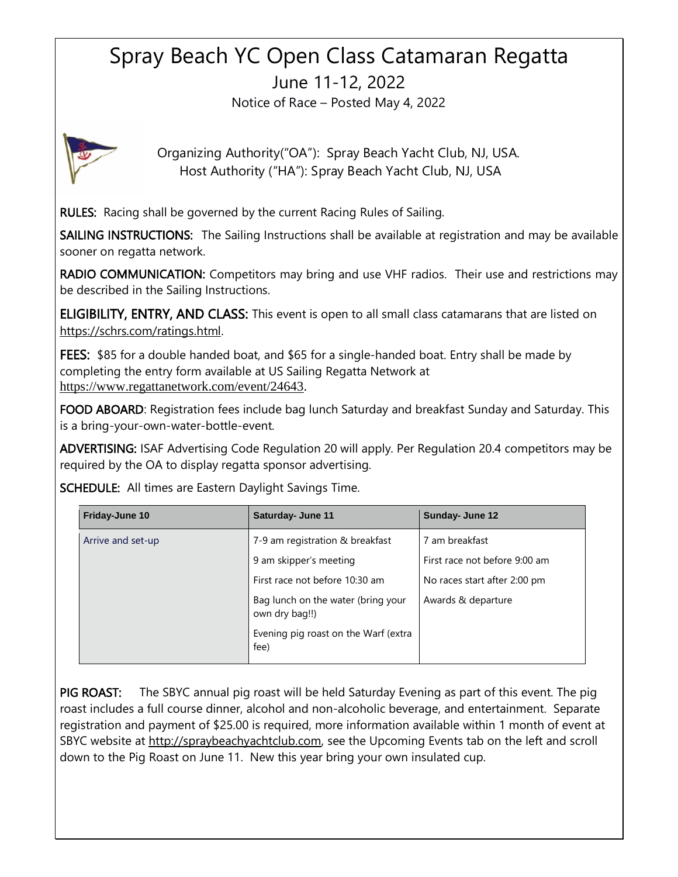## Spray Beach YC Open Class Catamaran Regatta June 11-12, 2022

Notice of Race – Posted May 4, 2022



Organizing Authority("OA"): Spray Beach Yacht Club, NJ, USA. Host Authority ("HA"): Spray Beach Yacht Club, NJ, USA

RULES: Racing shall be governed by the current Racing Rules of Sailing.

SAILING INSTRUCTIONS: The Sailing Instructions shall be available at registration and may be available sooner on regatta network.

RADIO COMMUNICATION: Competitors may bring and use VHF radios. Their use and restrictions may be described in the Sailing Instructions.

ELIGIBILITY, ENTRY, AND CLASS: This event is open to all small class catamarans that are listed on [https://schrs.com/ratings.html.](https://schrs.com/ratings.html)

FEES: \$85 for a double handed boat, and \$65 for a single-handed boat. Entry shall be made by completing the entry form available at US Sailing Regatta Network at [https://www.regattanetwork.com/event/24643.](https://www.regattanetwork.com/event/24643)

FOOD ABOARD: Registration fees include bag lunch Saturday and breakfast Sunday and Saturday. This is a bring-your-own-water-bottle-event.

ADVERTISING: ISAF Advertising Code Regulation 20 will apply. Per Regulation 20.4 competitors may be required by the OA to display regatta sponsor advertising.

| Friday-June 10    | <b>Saturday- June 11</b>                             | Sunday- June 12               |
|-------------------|------------------------------------------------------|-------------------------------|
| Arrive and set-up | 7-9 am registration & breakfast                      | 7 am breakfast                |
|                   | 9 am skipper's meeting                               | First race not before 9:00 am |
|                   | First race not before 10:30 am                       | No races start after 2:00 pm  |
|                   | Bag lunch on the water (bring your<br>own dry bag!!) | Awards & departure            |
|                   | Evening pig roast on the Warf (extra<br>fee)         |                               |

SCHEDULE: All times are Eastern Daylight Savings Time.

PIG ROAST: The SBYC annual pig roast will be held Saturday Evening as part of this event. The pig roast includes a full course dinner, alcohol and non-alcoholic beverage, and entertainment. Separate registration and payment of \$25.00 is required, more information available within 1 month of event at SBYC website at [http://spraybeachyachtclub.com,](http://spraybeachyachtclub.com/) see the Upcoming Events tab on the left and scroll down to the Pig Roast on June 11. New this year bring your own insulated cup.